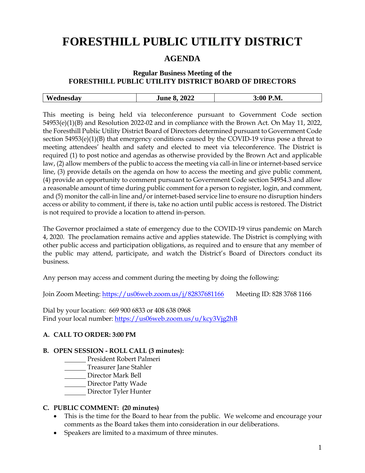# **FORESTHILL PUBLIC UTILITY DISTRICT**

## **AGENDA**

## **Regular Business Meeting of the FORESTHILL PUBLIC UTILITY DISTRICT BOARD OF DIRECTORS**

|  | W<br>$\sim$ $\sim$ $\sim$ $\sim$ | $\Lambda$<br>2022<br>- 111r - | 3.W<br>M.<br>_ _ _ _ |
|--|----------------------------------|-------------------------------|----------------------|
|--|----------------------------------|-------------------------------|----------------------|

This meeting is being held via teleconference pursuant to Government Code section 54953(e)(1)(B) and Resolution 2022-02 and in compliance with the Brown Act. On May 11, 2022, the Foresthill Public Utility District Board of Directors determined pursuant to Government Code section 54953(e)(1)(B) that emergency conditions caused by the COVID-19 virus pose a threat to meeting attendees' health and safety and elected to meet via teleconference. The District is required (1) to post notice and agendas as otherwise provided by the Brown Act and applicable law, (2) allow members of the public to access the meeting via call-in line or internet-based service line, (3) provide details on the agenda on how to access the meeting and give public comment, (4) provide an opportunity to comment pursuant to Government Code section 54954.3 and allow a reasonable amount of time during public comment for a person to register, login, and comment, and (5) monitor the call-in line and/or internet-based service line to ensure no disruption hinders access or ability to comment, if there is, take no action until public access is restored. The District is not required to provide a location to attend in-person.

The Governor proclaimed a state of emergency due to the COVID-19 virus pandemic on March 4, 2020. The proclamation remains active and applies statewide. The District is complying with other public access and participation obligations, as required and to ensure that any member of the public may attend, participate, and watch the District's Board of Directors conduct its business.

Any person may access and comment during the meeting by doing the following:

Join Zoom Meeting:<https://us06web.zoom.us/j/82837681166> Meeting ID: 828 3768 1166

Dial by your location: 669 900 6833 or 408 638 0968 Find your local number:<https://us06web.zoom.us/u/kcy3Vjg2hB>

## **A. CALL TO ORDER: 3:00 PM**

#### **B. OPEN SESSION - ROLL CALL (3 minutes):**

- President Robert Palmeri
- **Treasurer Jane Stahler**
- Director Mark Bell
- Director Patty Wade
- Director Tyler Hunter

#### **C. PUBLIC COMMENT: (20 minutes)**

- This is the time for the Board to hear from the public. We welcome and encourage your comments as the Board takes them into consideration in our deliberations.
- Speakers are limited to a maximum of three minutes.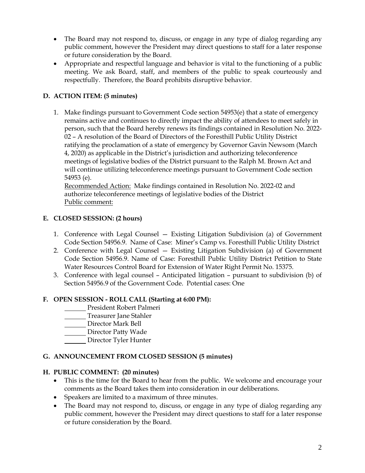- The Board may not respond to, discuss, or engage in any type of dialog regarding any public comment, however the President may direct questions to staff for a later response or future consideration by the Board.
- Appropriate and respectful language and behavior is vital to the functioning of a public meeting. We ask Board, staff, and members of the public to speak courteously and respectfully. Therefore, the Board prohibits disruptive behavior.

## **D. ACTION ITEM: (5 minutes)**

1. Make findings pursuant to Government Code section 54953(e) that a state of emergency remains active and continues to directly impact the ability of attendees to meet safely in person, such that the Board hereby renews its findings contained in Resolution No. 2022- 02 – A resolution of the Board of Directors of the Foresthill Public Utility District ratifying the proclamation of a state of emergency by Governor Gavin Newsom (March 4, 2020) as applicable in the District's jurisdiction and authorizing teleconference meetings of legislative bodies of the District pursuant to the Ralph M. Brown Act and will continue utilizing teleconference meetings pursuant to Government Code section 54953 (e).

Recommended Action: Make findings contained in Resolution No. 2022-02 and authorize teleconference meetings of legislative bodies of the District Public comment:

## **E. CLOSED SESSION: (2 hours)**

- 1. Conference with Legal Counsel Existing Litigation Subdivision (a) of Government Code Section 54956.9. Name of Case: Miner's Camp vs. Foresthill Public Utility District
- 2. Conference with Legal Counsel Existing Litigation Subdivision (a) of Government Code Section 54956.9. Name of Case: Foresthill Public Utility District Petition to State Water Resources Control Board for Extension of Water Right Permit No. 15375.
- 3. Conference with legal counsel Anticipated litigation pursuant to subdivision (b) of Section 54956.9 of the Government Code. Potential cases: One

#### **F. OPEN SESSION - ROLL CALL (Starting at 6:00 PM):**

- **President Robert Palmeri**
- **Treasurer Jane Stahler**
- Director Mark Bell
- Director Patty Wade
- Director Tyler Hunter

## **G. ANNOUNCEMENT FROM CLOSED SESSION (5 minutes)**

#### **H. PUBLIC COMMENT: (20 minutes)**

- This is the time for the Board to hear from the public. We welcome and encourage your comments as the Board takes them into consideration in our deliberations.
- Speakers are limited to a maximum of three minutes.
- The Board may not respond to, discuss, or engage in any type of dialog regarding any public comment, however the President may direct questions to staff for a later response or future consideration by the Board.